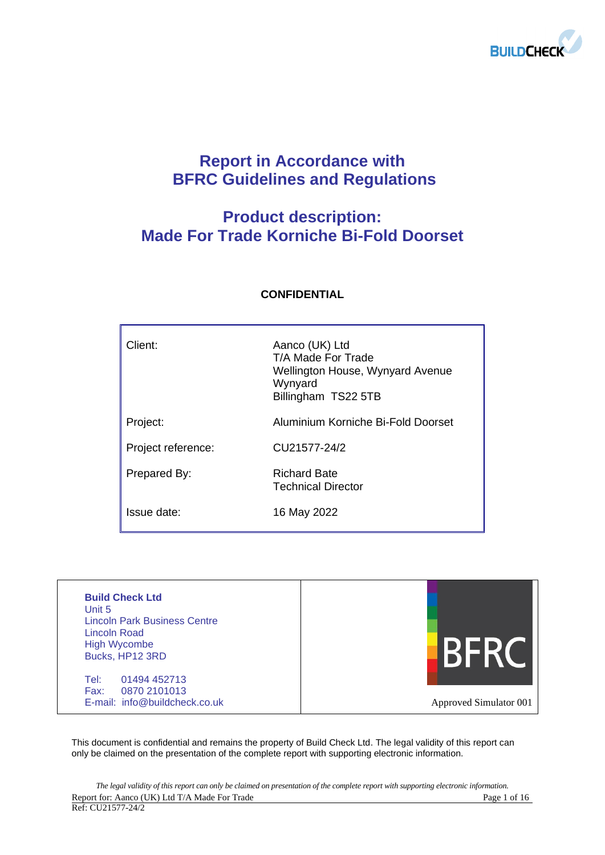

# **Report in Accordance with BFRC Guidelines and Regulations**

# **Product description: Made For Trade Korniche Bi-Fold Doorset**

| Client:            | Aanco (UK) Ltd<br>T/A Made For Trade<br>Wellington House, Wynyard Avenue<br>Wynyard<br>Billingham TS22 5TB |
|--------------------|------------------------------------------------------------------------------------------------------------|
| Project:           | Aluminium Korniche Bi-Fold Doorset                                                                         |
| Project reference: | CU21577-24/2                                                                                               |
| Prepared By:       | <b>Richard Bate</b><br><b>Technical Director</b>                                                           |
| Issue date:        | 16 May 2022                                                                                                |

## **CONFIDENTIAL**

| <b>Build Check Ltd</b><br>Unit 5<br><b>Lincoln Park Business Centre</b><br>Lincoln Road<br><b>High Wycombe</b><br>Bucks, HP12 3RD |                        |
|-----------------------------------------------------------------------------------------------------------------------------------|------------------------|
| 01494 452713<br>Tel:<br>Fax:<br>0870 2101013<br>E-mail: info@buildcheck.co.uk                                                     | Approved Simulator 001 |

This document is confidential and remains the property of Build Check Ltd. The legal validity of this report can only be claimed on the presentation of the complete report with supporting electronic information.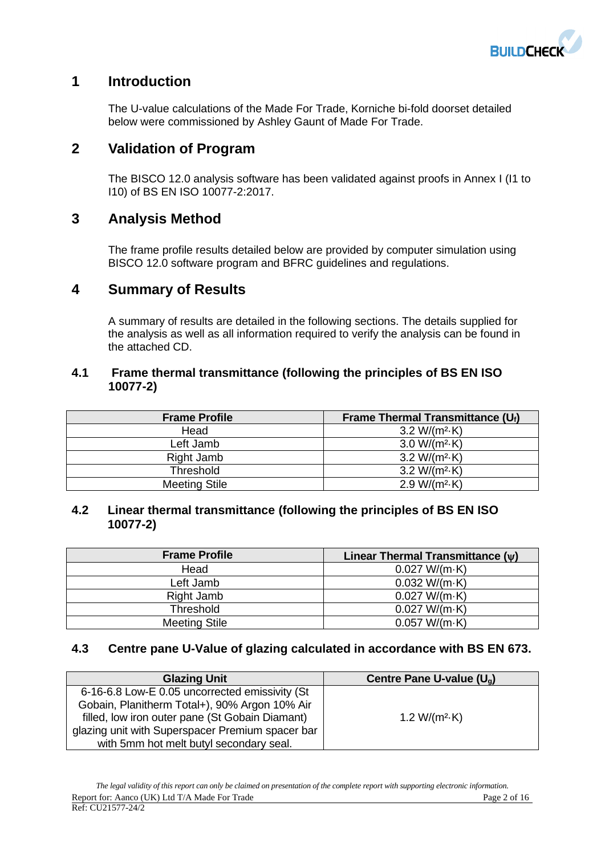

## **1 Introduction**

The U-value calculations of the Made For Trade, Korniche bi-fold doorset detailed below were commissioned by Ashley Gaunt of Made For Trade.

## **2 Validation of Program**

The BISCO 12.0 analysis software has been validated against proofs in Annex I (I1 to I10) of BS EN ISO 10077-2:2017.

## **3 Analysis Method**

The frame profile results detailed below are provided by computer simulation using BISCO 12.0 software program and BFRC guidelines and regulations.

## **4 Summary of Results**

A summary of results are detailed in the following sections. The details supplied for the analysis as well as all information required to verify the analysis can be found in the attached CD.

## **4.1 Frame thermal transmittance (following the principles of BS EN ISO 10077-2)**

| <b>Frame Profile</b> | Frame Thermal Transmittance $(U_i)$ |
|----------------------|-------------------------------------|
| Head                 | 3.2 W/( $m^2$ -K)                   |
| Left Jamb            | $3.0 W/(m^2 \cdot K)$               |
| Right Jamb           | $3.2 W/(m^2 \cdot K)$               |
| <b>Threshold</b>     | $3.2 W/(m^2 \cdot K)$               |
| <b>Meeting Stile</b> | $2.9 W/(m^2 \cdot K)$               |

## **4.2 Linear thermal transmittance (following the principles of BS EN ISO 10077-2)**

| <b>Frame Profile</b> | Linear Thermal Transmittance $(\psi)$ |
|----------------------|---------------------------------------|
| Head                 | 0.027 W/(m·K)                         |
| Left Jamb            | 0.032 W/(m·K)                         |
| Right Jamb           | 0.027 W/(m·K)                         |
| <b>Threshold</b>     | 0.027 W/(m·K)                         |
| <b>Meeting Stile</b> | 0.057 W/(m·K)                         |

## **4.3 Centre pane U-Value of glazing calculated in accordance with BS EN 673.**

| <b>Glazing Unit</b>                              | Centre Pane U-value (U <sub>a</sub> ) |
|--------------------------------------------------|---------------------------------------|
| 6-16-6.8 Low-E 0.05 uncorrected emissivity (St   |                                       |
| Gobain, Planitherm Total+), 90% Argon 10% Air    |                                       |
| filled, low iron outer pane (St Gobain Diamant)  | 1.2 W/( $m^2$ ·K)                     |
| glazing unit with Superspacer Premium spacer bar |                                       |
| with 5mm hot melt butyl secondary seal.          |                                       |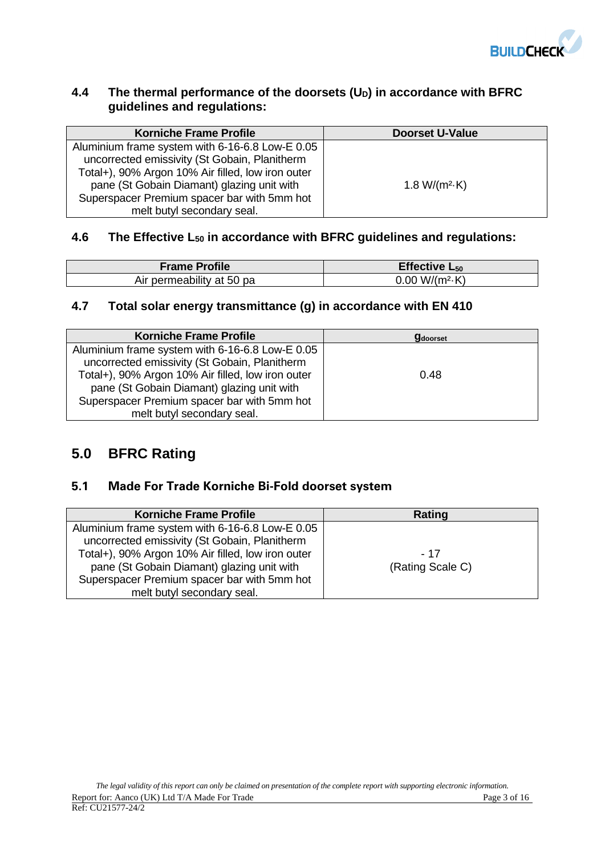

## **4.4 The thermal performance of the doorsets (UD) in accordance with BFRC guidelines and regulations:**

| <b>Korniche Frame Profile</b>                                                                                                                                                                       | <b>Doorset U-Value</b> |
|-----------------------------------------------------------------------------------------------------------------------------------------------------------------------------------------------------|------------------------|
| Aluminium frame system with 6-16-6.8 Low-E 0.05<br>uncorrected emissivity (St Gobain, Planitherm<br>Total+), 90% Argon 10% Air filled, low iron outer<br>pane (St Gobain Diamant) glazing unit with | 1.8 W/( $m^2$ -K)      |
| Superspacer Premium spacer bar with 5mm hot<br>melt butyl secondary seal.                                                                                                                           |                        |

## **4.6 The Effective L<sup>50</sup> in accordance with BFRC guidelines and regulations:**

| <b>Frame Profile</b>      | Effective $L_{50}$     |
|---------------------------|------------------------|
| Air permeability at 50 pa | $0.00 W/(m^2 \cdot K)$ |

## **4.7 Total solar energy transmittance (g) in accordance with EN 410**

| <b>Korniche Frame Profile</b>                     | <b>g</b> doorset |
|---------------------------------------------------|------------------|
| Aluminium frame system with 6-16-6.8 Low-E 0.05   |                  |
| uncorrected emissivity (St Gobain, Planitherm     |                  |
| Total+), 90% Argon 10% Air filled, low iron outer | 0.48             |
| pane (St Gobain Diamant) glazing unit with        |                  |
| Superspacer Premium spacer bar with 5mm hot       |                  |
| melt butyl secondary seal.                        |                  |

# **5.0 BFRC Rating**

## **5.1 Made For Trade Korniche Bi-Fold doorset system**

| <b>Korniche Frame Profile</b>                     | Rating           |
|---------------------------------------------------|------------------|
| Aluminium frame system with 6-16-6.8 Low-E 0.05   |                  |
| uncorrected emissivity (St Gobain, Planitherm     |                  |
| Total+), 90% Argon 10% Air filled, low iron outer | - 17             |
| pane (St Gobain Diamant) glazing unit with        | (Rating Scale C) |
| Superspacer Premium spacer bar with 5mm hot       |                  |
| melt butyl secondary seal.                        |                  |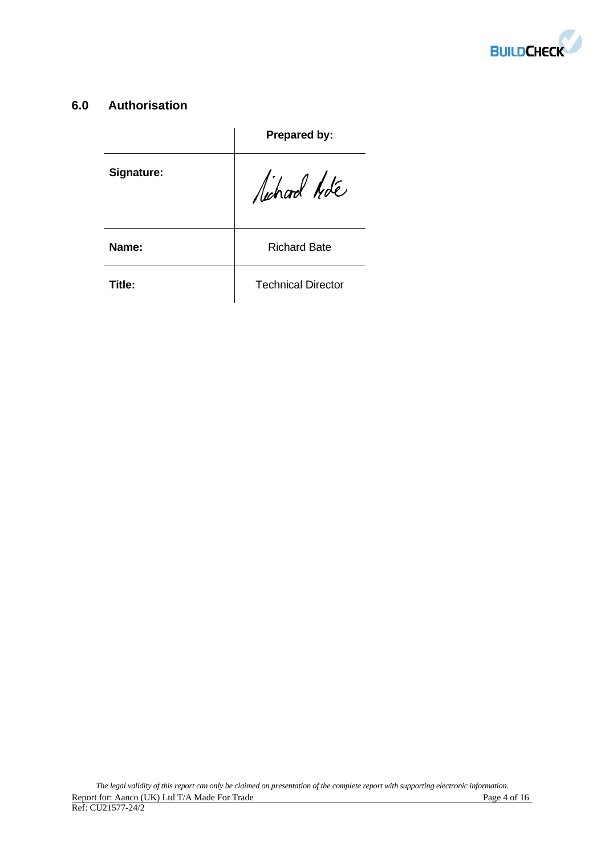

## **6.0 Authorisation**

|            | Prepared by:              |
|------------|---------------------------|
| Signature: | lichard hote              |
| Name:      | <b>Richard Bate</b>       |
| Title:     | <b>Technical Director</b> |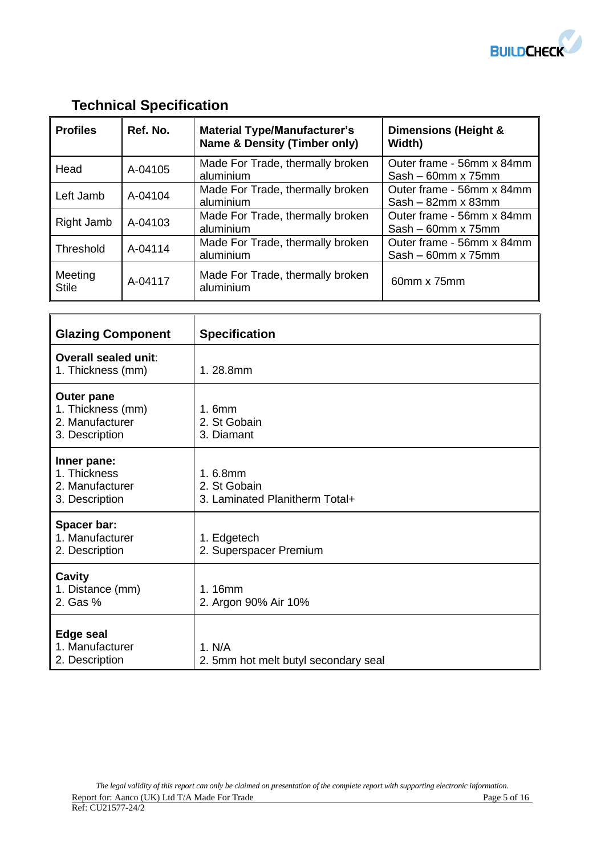

# **Technical Specification**

| <b>Profiles</b>         | Ref. No. | <b>Material Type/Manufacturer's</b><br><b>Name &amp; Density (Timber only)</b> | Dimensions (Height &<br>Width)                         |
|-------------------------|----------|--------------------------------------------------------------------------------|--------------------------------------------------------|
| Head                    | A-04105  | Made For Trade, thermally broken<br>aluminium                                  | Outer frame - 56mm x 84mm<br>$Sash - 60mm \times 75mm$ |
| Left Jamb               | A-04104  | Made For Trade, thermally broken<br>aluminium                                  | Outer frame - 56mm x 84mm<br>$Sash - 82mm \times 83mm$ |
| Right Jamb              | A-04103  | Made For Trade, thermally broken<br>aluminium                                  | Outer frame - 56mm x 84mm<br>$Sash - 60mm \times 75mm$ |
| Threshold               | A-04114  | Made For Trade, thermally broken<br>aluminium                                  | Outer frame - 56mm x 84mm<br>$Sash - 60mm \times 75mm$ |
| Meeting<br><b>Stile</b> | A-04117  | Made For Trade, thermally broken<br>aluminium                                  | 60mm x 75mm                                            |

| <b>Glazing Component</b>                                             | <b>Specification</b>                                      |
|----------------------------------------------------------------------|-----------------------------------------------------------|
| Overall sealed unit:<br>1. Thickness (mm)                            | 1.28.8mm                                                  |
| Outer pane<br>1. Thickness (mm)<br>2. Manufacturer<br>3. Description | 1.6mm<br>2. St Gobain<br>3. Diamant                       |
| Inner pane:<br>1. Thickness<br>2. Manufacturer<br>3. Description     | 1.6.8mm<br>2. St Gobain<br>3. Laminated Planitherm Total+ |
| Spacer bar:<br>1. Manufacturer<br>2. Description                     | 1. Edgetech<br>2. Superspacer Premium                     |
| Cavity<br>1. Distance (mm)<br>2. Gas %                               | 1.16mm<br>2. Argon 90% Air 10%                            |
| <b>Edge seal</b><br>1. Manufacturer<br>2. Description                | 1. N/A<br>2. 5mm hot melt butyl secondary seal            |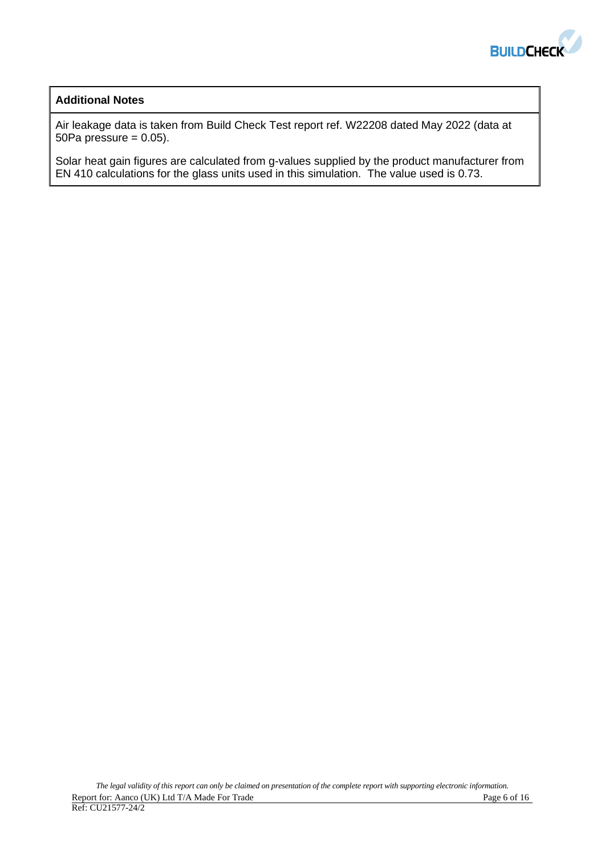

## **Additional Notes**

Air leakage data is taken from Build Check Test report ref. W22208 dated May 2022 (data at 50Pa pressure  $= 0.05$ ).

Solar heat gain figures are calculated from g-values supplied by the product manufacturer from EN 410 calculations for the glass units used in this simulation. The value used is 0.73.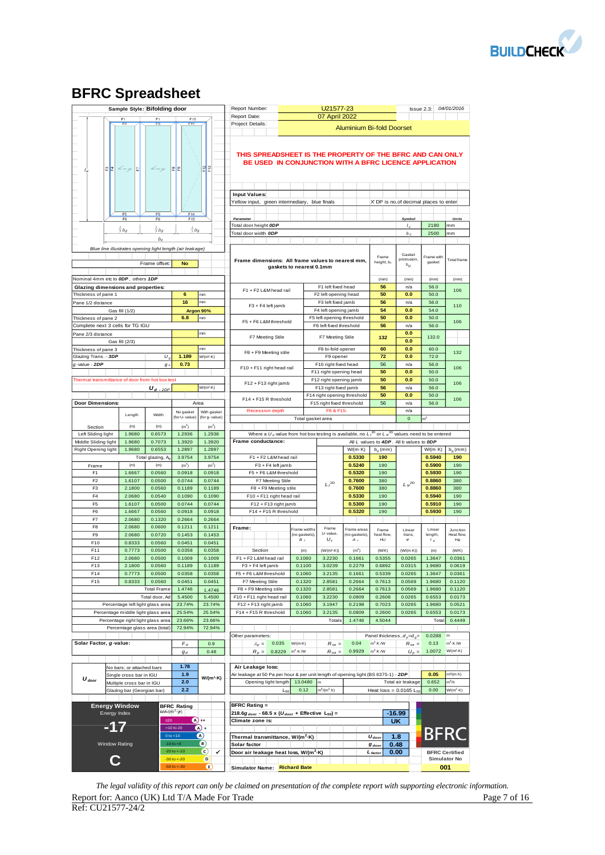

# **BFRC Spreadsheet**

|                                                                                        |                                                      |                  | Sample Style: Bifolding door                                            |                                                          |                            | Report Number:                                                                                                      |                          |                     | U21577-23                                                |                                  |                   |                                          | $\ssue 2.3:$              | 04/01/2016                                   |
|----------------------------------------------------------------------------------------|------------------------------------------------------|------------------|-------------------------------------------------------------------------|----------------------------------------------------------|----------------------------|---------------------------------------------------------------------------------------------------------------------|--------------------------|---------------------|----------------------------------------------------------|----------------------------------|-------------------|------------------------------------------|---------------------------|----------------------------------------------|
|                                                                                        |                                                      |                  | F <sub>1</sub>                                                          | F10                                                      |                            | Report Date:                                                                                                        |                          |                     | 07 April 2022                                            |                                  |                   |                                          |                           |                                              |
|                                                                                        | F <sub>2</sub>                                       |                  | F <sub>2</sub>                                                          | F11                                                      |                            | Project Details:                                                                                                    |                          |                     |                                                          | <b>Aluminium Bi-fold Doorset</b> |                   |                                          |                           |                                              |
|                                                                                        | 운분<br>$\angle$ -7                                    | E                |                                                                         | <b>⊞ </b> 문                                              | 레운                         | THIS SPREADSHEET IS THE PROPERTY OF THE BFRC AND CAN ONLY<br>BE USED IN CONJUNCTION WITH A BFRC LICENCE APPLICATION |                          |                     |                                                          |                                  |                   |                                          |                           |                                              |
|                                                                                        |                                                      |                  |                                                                         |                                                          |                            | <b>Input Values:</b>                                                                                                |                          |                     |                                                          |                                  |                   |                                          |                           |                                              |
|                                                                                        |                                                      |                  |                                                                         |                                                          |                            | Yellow input, green intermediary, blue finals                                                                       |                          |                     |                                                          |                                  |                   | X DP is no.of decimal places to enter    |                           |                                              |
|                                                                                        | F5                                                   |                  | F <sub>5</sub>                                                          | F14                                                      |                            |                                                                                                                     |                          |                     |                                                          |                                  |                   |                                          |                           |                                              |
|                                                                                        | F <sub>6</sub>                                       |                  | F6                                                                      | F <sub>15</sub>                                          |                            | Parameter                                                                                                           |                          |                     |                                                          |                                  |                   | Symbol                                   |                           | Units                                        |
|                                                                                        | $rac{1}{3}b_d$                                       |                  | $rac{1}{3}b_d$                                                          | $rac{1}{3}b_d$                                           |                            | Total door height ODP                                                                                               |                          |                     |                                                          |                                  |                   | L                                        | 2180                      | mm                                           |
|                                                                                        |                                                      |                  | $b_d$                                                                   |                                                          |                            | Total door width ODP                                                                                                |                          |                     |                                                          |                                  |                   | b <sub>d</sub>                           | 2500                      | mm                                           |
|                                                                                        |                                                      |                  |                                                                         | Blue line illustrates opening light length (air leakage) |                            |                                                                                                                     |                          |                     |                                                          |                                  |                   |                                          |                           |                                              |
|                                                                                        |                                                      |                  |                                                                         |                                                          |                            |                                                                                                                     |                          |                     |                                                          |                                  | Frame             | Gasket<br>protrusion,                    | Frame with                | <b>Total</b> frame                           |
|                                                                                        |                                                      |                  | Frame offset:                                                           | <b>No</b>                                                |                            | Frame dimensions: All frame values to nearest mm,                                                                   | gaskets to nearest 0.1mm |                     |                                                          |                                  | height, b,        | $b_{gt}$                                 | gasket                    |                                              |
|                                                                                        |                                                      |                  |                                                                         |                                                          |                            |                                                                                                                     |                          |                     |                                                          |                                  |                   |                                          |                           |                                              |
| Nominal 4mm etc to ODP, others 1DP                                                     |                                                      |                  |                                                                         |                                                          |                            |                                                                                                                     |                          |                     | F1 left fixed head                                       |                                  | (mm)<br>56        | (mm)<br>n/a                              | (mm)<br>56.0              | (mm)                                         |
| <b>Glazing dimensions and properties:</b><br>Thickness of pane 1                       |                                                      |                  |                                                                         | 6                                                        | mm                         | F1 + F2 L&M head rail                                                                                               |                          |                     | F2 left opening head                                     |                                  | 50                | 0.0                                      | 50.0                      | 106                                          |
| Pane 1/2 distance                                                                      |                                                      |                  |                                                                         | 16                                                       | mm                         |                                                                                                                     |                          |                     | F3 left fixed jamb                                       |                                  | 56                | n/a                                      | 56.0                      |                                              |
|                                                                                        | Gas fill (1/2)                                       |                  |                                                                         |                                                          | Argon 90%                  | F3 + F4 left jamb                                                                                                   |                          |                     | F4 left opening jamb                                     |                                  | 54                | 0.0                                      | 54.0                      | 110                                          |
| Thickness of pane 2                                                                    |                                                      |                  |                                                                         | 6.8                                                      | mm                         | F5 + F6 L&M threshold                                                                                               |                          |                     | F5 left opening threshold                                |                                  | 50                | 0.0                                      | 50.0                      | 106                                          |
| Complete next 3 cells for TG IGU                                                       |                                                      |                  |                                                                         |                                                          |                            |                                                                                                                     |                          |                     | F6 left fixed threshold                                  |                                  | 56                | n/a                                      | 56.0                      |                                              |
| Pane 2/3 distance                                                                      |                                                      |                  |                                                                         |                                                          | mm                         | F7 Meeting Stile                                                                                                    |                          |                     | F7 Meeting Stile                                         |                                  | 132               | 0.0                                      | 132.0                     |                                              |
|                                                                                        | Gas fill (2/3)                                       |                  |                                                                         |                                                          | mm                         |                                                                                                                     |                          |                     | F8 bi-fold opener                                        |                                  | 60                | 0.0<br>0.0                               | 60.0                      |                                              |
| Thickness of pane 3<br>Glazing Trans. - 3DP                                            |                                                      |                  | U.                                                                      | 1.189                                                    | W/(m <sup>2</sup> ·K)      | F8 + F9 Meeting stile                                                                                               |                          |                     | F9 opener                                                |                                  | 72                | 0.0                                      | 72.0                      | 132                                          |
| a-value - 2DP                                                                          |                                                      |                  | $g_{\perp}$                                                             | 0.73                                                     |                            |                                                                                                                     |                          |                     | F10 right fixed head                                     |                                  | 56                | n/a                                      | 56.0                      | 106                                          |
|                                                                                        |                                                      |                  |                                                                         |                                                          |                            | F10 + F11 right head rail                                                                                           |                          |                     | F11 right opening head                                   |                                  | 50                | 0.0                                      | 50.0                      |                                              |
| Thermal transmittance of door from hot box test                                        |                                                      |                  |                                                                         |                                                          |                            | F12 + F13 right jamb                                                                                                |                          |                     | F12 right opening jamb                                   |                                  | 50                | 0.0                                      | 50.0                      | 106                                          |
|                                                                                        |                                                      |                  | <u> U <sub>d - 2DP</sub></u>                                            |                                                          | W/(m <sup>2</sup> ·K)      |                                                                                                                     |                          |                     | F13 right fixed jamb                                     |                                  | 56                | n/a                                      | 56.0                      |                                              |
| <b>Door Dimensions:</b>                                                                |                                                      |                  |                                                                         |                                                          |                            | F14 + F15 R threshold                                                                                               |                          |                     | F14 right opening threshold<br>F15 right fixed threshold |                                  | 50<br>56          | 0.0<br>n/a                               | 50.0<br>56.0              | 106                                          |
|                                                                                        |                                                      |                  |                                                                         | No gasket                                                | Area<br>With gasket        | <b>Recession depth</b>                                                                                              |                          |                     | F6 & F15:                                                |                                  |                   | n/a                                      |                           |                                              |
|                                                                                        |                                                      | Length           | Width                                                                   | (for U-value)                                            | (for g-value)              |                                                                                                                     |                          | Total gasket area   |                                                          |                                  |                   | $\mathbf 0$                              |                           |                                              |
| Section                                                                                |                                                      | (m)              | (m)                                                                     | (m <sup>2</sup> )                                        | (m <sup>2</sup> )          |                                                                                                                     |                          |                     |                                                          |                                  |                   |                                          |                           |                                              |
| Left Sliding light                                                                     |                                                      | 1.9680           | 0.6573                                                                  | 1.2936                                                   | 1.2936                     | Where a $U_d$ value from hot box testing is available, no $L_f^{20}$ or $L_\psi^{20}$ values need to be entered     |                          |                     |                                                          |                                  |                   |                                          |                           |                                              |
| Middle Sliding light                                                                   |                                                      | 1.9680           | 0.7073                                                                  | 1.3920<br>1.2897                                         | 1.3920                     | Frame conductance:                                                                                                  |                          |                     |                                                          |                                  |                   | All L values to 4DP. All b values to ODP |                           |                                              |
| Right Opening light                                                                    |                                                      | 1.9680           | 0.6553<br>Total glazing, A                                              | 3.9754                                                   | 1.2897<br>3.9754           | F1 + F2 L&M head rail                                                                                               |                          |                     |                                                          | $W/(m \cdot K)$<br>0.5330        | $b_p$ (mm)<br>190 |                                          | $W/(m \cdot K)$<br>0.5940 | $b_g$ (mm)<br>190                            |
| Frame                                                                                  |                                                      | (m)              | (m)                                                                     | (m <sup>2</sup> )                                        | (m <sup>2</sup> )          | F3 + F4 left jamb                                                                                                   |                          |                     |                                                          | 0.5240                           | 190               |                                          | 0.5900                    | 190                                          |
| F <sub>1</sub>                                                                         |                                                      | 1.6667           | 0.0560                                                                  | 0.0918                                                   | 0.0918                     | F5 + F6 L&M threshold                                                                                               |                          |                     |                                                          | 0.5320                           | 190               |                                          | 0.5930                    | 190                                          |
| F <sub>2</sub>                                                                         |                                                      | 1.6107           | 0.0500                                                                  | 0.0744                                                   | 0.0744                     | F7 Meeting Stile                                                                                                    |                          |                     | $L_f^{2D}$                                               | 0.7600                           | 380               | $L\,\omega^{\rm 2D}$                     | 0.8860                    | 380                                          |
| F <sub>3</sub>                                                                         |                                                      | 2.1800           | 0.0560                                                                  | 0.1189                                                   | 0.1189                     | F8 + F9 Meeting stile                                                                                               |                          |                     |                                                          | 0.7600                           | 380               |                                          | 0.8860                    | 380                                          |
| F4<br>F <sub>5</sub>                                                                   |                                                      | 2.0680           | 0.0540                                                                  | 0.1090                                                   | 0.1090                     | F10 + F11 right head rail                                                                                           |                          |                     |                                                          | 0.5330                           | 190<br>190        |                                          | 0.5940                    | 190<br>190                                   |
| F <sub>6</sub>                                                                         |                                                      | 1.6107<br>1.6667 | 0.0500<br>0.0560                                                        | 0.0744<br>0.0918                                         | 0.0744<br>0.0918           | F12 + F13 right jamb<br>F14 + F15 R threshold                                                                       |                          |                     |                                                          | 0.5300<br>0.5320                 | 190               |                                          | 0.5910<br>0.5930          | 190                                          |
| F7                                                                                     |                                                      | 2.0680           | 0.1320                                                                  | 0.2664                                                   | 0.2664                     |                                                                                                                     |                          |                     |                                                          |                                  |                   |                                          |                           |                                              |
| F <sub>8</sub>                                                                         |                                                      | 2.0680           | 0.0600                                                                  | 0.1211                                                   | 0.1211                     | Frame:                                                                                                              |                          | rame widths         | Frame                                                    | Frame areas                      | Frame             | Linear                                   | Linear                    | Junction                                     |
| F <sub>9</sub>                                                                         |                                                      | 2.0680           | 0.0720                                                                  | 0.1453                                                   | 0.1453                     |                                                                                                                     |                          | (no gaskets),<br>в, | U-value,<br>U,                                           | (no gaskets),                    | heat flow,<br>HU  | trans,<br>$\psi$                         | length,                   | Heat flow,<br>$H\psi$                        |
| F10                                                                                    |                                                      | 0.8333           | 0.0560                                                                  | 0.0451                                                   | 0.0451                     |                                                                                                                     |                          |                     |                                                          | А,                               |                   |                                          | $^{\prime}$ g             |                                              |
| F11                                                                                    |                                                      | 0.7773           | 0.0500                                                                  | 0.0358                                                   | 0.0358                     | Section                                                                                                             |                          | (m)                 | (W/(m <sup>2</sup> ·K))                                  | (m <sup>2</sup> )                | (VV/K)            | $(W/(m \cdot K))$                        | (m)                       | (WW/K)                                       |
| F12<br>F <sub>13</sub>                                                                 |                                                      | 2.0680<br>2.1800 | 0.0500<br>0.0560                                                        | 0.1009<br>0.1189                                         | 0.1009<br>0.1189           | F1 + F2 L&M head rail<br>F3 + F4 left jamb                                                                          |                          | 0.1060<br>0.1100    | 3.2230<br>3.0239                                         | 0.1661<br>0.2279                 | 0.5355<br>0.6892  | 0.0265<br>0.0315                         | 1.3647<br>1.9680          | 0.0361<br>0.0619                             |
| F14                                                                                    |                                                      | 0.7773           | 0.0500                                                                  | 0.0358                                                   | 0.0358                     | F5 + F6 L&M threshold                                                                                               |                          | 0.1060              | 3.2135                                                   | 0.1661                           | 0.5339            | 0.0265                                   | 1.3647                    | 0.0361                                       |
| F15                                                                                    |                                                      | 0.8333           | 0.0560                                                                  | 0.0451                                                   | 0.0451                     | F7 Meeting Stile                                                                                                    |                          | 0.1320              | 2.8581                                                   | 0.2664                           | 0.7613            | 0.0569                                   | 1.9680                    | 0.1120                                       |
|                                                                                        |                                                      |                  | <b>Total Frame</b>                                                      | 1.4746                                                   | 1.4746                     | F8 + F9 Meeting stile                                                                                               |                          | 0.1320              | 2.8581                                                   | 0.2664                           | 0.7613            | 0.0569                                   | 1.9680                    | 0.1120                                       |
|                                                                                        |                                                      |                  | Total door, Ad                                                          | 5.4500                                                   | 5.4500                     | F10 + F11 right head rail                                                                                           |                          | 0.1060              | 3.2230                                                   | 0.0809                           | 0.2608            | 0.0265                                   | 0.6553                    | 0.0173                                       |
|                                                                                        |                                                      |                  | Percentage left light glass area                                        | 23.74%                                                   | 23.74%                     | F12 + F13 right jamb<br>F14 + F15 R threshold                                                                       |                          | 0.1060              | 3.1947                                                   | 0.2198                           | 0.7023            | 0.0265                                   | 1.9680                    | 0.0521                                       |
|                                                                                        |                                                      |                  | Percentage middle light glass area<br>Percentage right light glass area | 25.54%<br>23.66%                                         | 25.54%<br>23.66%           |                                                                                                                     |                          | 0.1060              | 3.2135<br>Totals                                         | 0.0809<br>1.4746                 | 0.2600<br>4.5044  | 0.0265                                   | 0.6553<br>Tota            | 0.0173<br>0.4449                             |
|                                                                                        |                                                      |                  | Percentage glass area (total)                                           | 72.94%                                                   | 72.94%                     |                                                                                                                     |                          |                     |                                                          |                                  |                   |                                          |                           |                                              |
|                                                                                        |                                                      |                  |                                                                         |                                                          |                            | Other parameters:                                                                                                   |                          |                     |                                                          |                                  |                   | Panel thickness, $d_p = d_q =$           | 0.0288                    | m                                            |
| Solar Factor, g-value:                                                                 |                                                      |                  |                                                                         | $F_d$                                                    | 0.9                        | 0.035<br>$\lambda_p =$                                                                                              | $W/(m \cdot K)$          |                     | $R_{se} =$                                               | 0.04                             | $m^2$ K /W        | $R_{se} =$                               | 0.13                      | $m^2$ -K /W                                  |
|                                                                                        |                                                      |                  |                                                                         | $g_d$                                                    | 0.48                       | $R_p =$                                                                                                             | $m^2$ -K /W<br>0.8229    |                     | $R_{tot} =$                                              | 0.9929                           | $m^2$ K /W        | $U_p =$                                  | 1.0072                    | W/(m <sup>2</sup> ·K)                        |
|                                                                                        |                                                      |                  |                                                                         | 1.78                                                     |                            | Air Leakage loss:                                                                                                   |                          |                     |                                                          |                                  |                   |                                          |                           |                                              |
|                                                                                        | No bars; or attached bars<br>Single cross bar in IGU |                  |                                                                         | 1.9                                                      |                            | Air leakage at 50 Pa per hour & per unit length of opening light (BS 6375-1) - 2DP                                  |                          |                     |                                                          |                                  |                   |                                          | 0.05                      | m <sup>3</sup> /(m-h)                        |
| $U_{door}$                                                                             | Multiple cross bar in IGU                            |                  |                                                                         | 2.0                                                      | $W/(m^2 \cdot K)$          | Opening light length                                                                                                |                          | 13.0480             |                                                          |                                  |                   | Total air leakage                        | 0.652                     | $m^3/h$                                      |
|                                                                                        | Glazing bar (Georgian bar)                           |                  |                                                                         | 2.2                                                      |                            |                                                                                                                     | $L_{50}$                 | 0.12                | $m^3/(m^2 \cdot h)$                                      |                                  |                   | Heat $loss = 0.0165$ L <sub>50</sub>     | 0.00                      | $W/(m^2 \cdot K)$                            |
|                                                                                        |                                                      |                  |                                                                         |                                                          |                            |                                                                                                                     |                          |                     |                                                          |                                  |                   |                                          |                           |                                              |
| <b>Energy Window</b><br><b>BFRC Rating</b><br>kWh/(m <sup>2</sup> ·yr)<br>Energy Index |                                                      |                  |                                                                         | <b>BFRC Rating =</b>                                     |                            |                                                                                                                     |                          |                     |                                                          |                                  |                   |                                          |                           |                                              |
|                                                                                        |                                                      |                  | $\geq 20$                                                               |                                                          | $(A) +$                    | 218.6g <sub>door</sub> - 68.5 x (U <sub>door</sub> + Effective L <sub>50</sub> ) =<br>Climate zone is:              |                          |                     |                                                          |                                  |                   | -16.99<br>UK                             |                           |                                              |
|                                                                                        | -17                                                  |                  |                                                                         | >10 to 20                                                | $\overline{A}$             |                                                                                                                     |                          |                     |                                                          |                                  |                   |                                          |                           |                                              |
|                                                                                        |                                                      |                  |                                                                         | $0$ to $< 10$                                            | $\omega$                   | Thermal transmittance, W/(m <sup>2</sup> ·K)                                                                        |                          |                     |                                                          |                                  | $U_{door}$        | 1.8                                      | <b>BFRC</b>               |                                              |
|                                                                                        | Window Rating                                        |                  |                                                                         | $-10$ to $< 0$                                           | $\left( \mathbf{B}\right)$ | Solar factor                                                                                                        |                          |                     |                                                          |                                  | $g$ door          | 0.48                                     |                           |                                              |
|                                                                                        |                                                      |                  |                                                                         | $-20$ to $< -10$<br>$-30$ to $<-20$                      | O<br>✓<br>D.               | Door air leakage heat loss, W/(m <sup>2</sup> ·K)                                                                   |                          |                     |                                                          |                                  | $L_{factor}$      | 0.00                                     |                           | <b>BFRC Certified</b><br><b>Simulator No</b> |
|                                                                                        |                                                      |                  |                                                                         | $-50$ to $< -30$                                         | c                          | Simulator Name: Richard Bate                                                                                        |                          |                     |                                                          |                                  |                   |                                          |                           | 001                                          |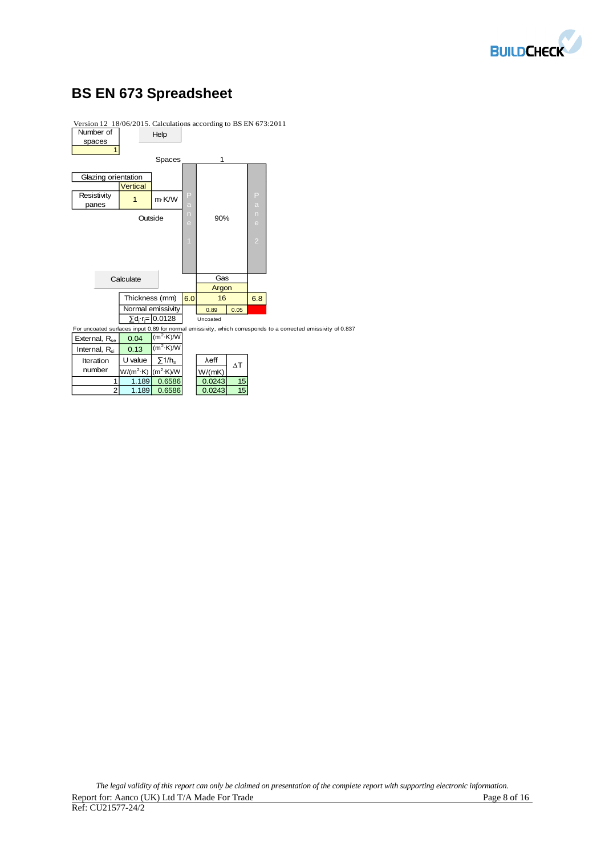

# **BS EN 673 Spreadsheet**



Version 12 18/06/2015. Calculations according to BS EN 673:2011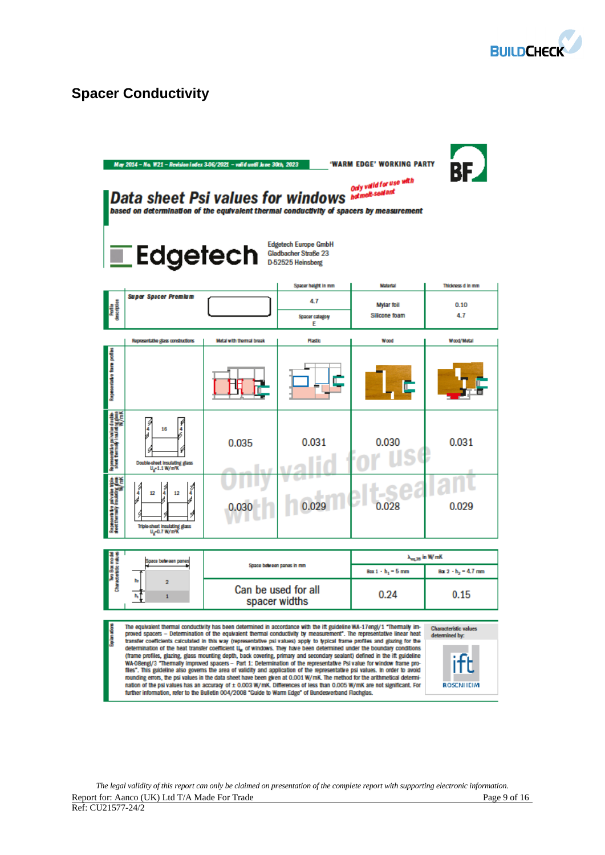

# **Spacer Conductivity**

|                                                                                                       | May 2014 - No. W21 - Revision index 3-06/2021 - valid until June 30th, 2023<br>Data sheet Psi values for windows <b>Mature A. Seal ant</b><br>based on determination of the equivalent thermal conductivity of spacers by measurement<br><i><b>Edgetech</b></i> Stadbacher Straße 2                                                                                                                                                                                                                                                                                                                                                                                                                                                                                                                                                                                                                                                                                                                                                                                                                                                                                                                                                                                                                                            |                                      | <b>Edgetech Europe GmbH</b><br>Gladbacher Straße 23 | 'WARM EDGE' WORKING PARTY<br>Only valid for use with | BE                    |  |  |
|-------------------------------------------------------------------------------------------------------|--------------------------------------------------------------------------------------------------------------------------------------------------------------------------------------------------------------------------------------------------------------------------------------------------------------------------------------------------------------------------------------------------------------------------------------------------------------------------------------------------------------------------------------------------------------------------------------------------------------------------------------------------------------------------------------------------------------------------------------------------------------------------------------------------------------------------------------------------------------------------------------------------------------------------------------------------------------------------------------------------------------------------------------------------------------------------------------------------------------------------------------------------------------------------------------------------------------------------------------------------------------------------------------------------------------------------------|--------------------------------------|-----------------------------------------------------|------------------------------------------------------|-----------------------|--|--|
|                                                                                                       | <b>Super Spacer Premium</b>                                                                                                                                                                                                                                                                                                                                                                                                                                                                                                                                                                                                                                                                                                                                                                                                                                                                                                                                                                                                                                                                                                                                                                                                                                                                                                    |                                      | Spacer height in mm                                 | <b>Material</b>                                      | Thickness d in mm     |  |  |
| Profile<br>description                                                                                |                                                                                                                                                                                                                                                                                                                                                                                                                                                                                                                                                                                                                                                                                                                                                                                                                                                                                                                                                                                                                                                                                                                                                                                                                                                                                                                                |                                      | 4.7<br>Spacer category<br>Ε                         | <b>Mylar foil</b><br>Silicone foam                   | 0.10<br>4.7           |  |  |
|                                                                                                       | Representative glass constructions                                                                                                                                                                                                                                                                                                                                                                                                                                                                                                                                                                                                                                                                                                                                                                                                                                                                                                                                                                                                                                                                                                                                                                                                                                                                                             | Motal with thermal break             | <b>Plastic</b>                                      | Wood                                                 | Wood/Matal            |  |  |
| Repeatate fare potes                                                                                  |                                                                                                                                                                                                                                                                                                                                                                                                                                                                                                                                                                                                                                                                                                                                                                                                                                                                                                                                                                                                                                                                                                                                                                                                                                                                                                                                |                                      |                                                     |                                                      |                       |  |  |
| Representative polivalise double<br>Shed: thermaly insulating glass<br>Shed: thermaly insulating ym K | J<br>₽<br>16<br>4<br>Double-sheet insulating glass<br>$U_g$ -1.1 W/m%                                                                                                                                                                                                                                                                                                                                                                                                                                                                                                                                                                                                                                                                                                                                                                                                                                                                                                                                                                                                                                                                                                                                                                                                                                                          | 0.035                                | 0.031                                               | 0.030                                                | 0.031                 |  |  |
| Represent the palmatics and<br>deet thermally insulating glass                                        | J<br>Î<br>12<br>12<br>Triple-sheet insulating glass<br>U <sub>g</sub> =0.7 W/m%                                                                                                                                                                                                                                                                                                                                                                                                                                                                                                                                                                                                                                                                                                                                                                                                                                                                                                                                                                                                                                                                                                                                                                                                                                                |                                      |                                                     | 0.028                                                | 0.029                 |  |  |
|                                                                                                       | $\lambda_{\rm eq, 25}$ in W/mK                                                                                                                                                                                                                                                                                                                                                                                                                                                                                                                                                                                                                                                                                                                                                                                                                                                                                                                                                                                                                                                                                                                                                                                                                                                                                                 |                                      |                                                     |                                                      |                       |  |  |
| ino Bommode<br>Womackatako wali                                                                       | Space between panes                                                                                                                                                                                                                                                                                                                                                                                                                                                                                                                                                                                                                                                                                                                                                                                                                                                                                                                                                                                                                                                                                                                                                                                                                                                                                                            | Space between panes in mm            |                                                     | Box 1 - h <sub>1</sub> = 5 mm                        | $Bar 2 - h2 = 4.7$ mm |  |  |
|                                                                                                       | 2<br>$\mathbf{1}$                                                                                                                                                                                                                                                                                                                                                                                                                                                                                                                                                                                                                                                                                                                                                                                                                                                                                                                                                                                                                                                                                                                                                                                                                                                                                                              | Can be used for all<br>spacer widths | 0.15                                                |                                                      |                       |  |  |
|                                                                                                       | The equivalent thermal conductivity has been determined in accordance with the ift guideline WA-17engl/1 "Thermally im-<br><b>Characteristic values</b><br>proved spacers – Determination of the equivalent thermal conductivity by measurement". The representative linear heat<br>determined by:<br>transfer coefficients calculated in this way (representative psi values) apply to typical frame profiles and glazing for the<br>determination of the heat transfer coefficient U, of windows. They have been determined under the boundary conditions<br>(frame profiles, glazing, glass mounting depth, back covering, primary and secondary sealant) defined in the ift guideline<br>WA-OBengl/3 "Thermally improved spacers - Part 1: Determination of the representative Psi value for window frame pro-<br>files". This guideline also governs the area of validity and application of the representative psi values. In order to avoid<br>rounding errors, the psi values in the data sheet have been given at 0.001 W/mK. The method for the arithmetical determi-<br>nation of the psi values has an accuracy of ± 0.003 W/mK. Differences of less than 0.005 W/mK are not significant. For<br>ROSENHEIM<br>further information, refer to the Bulletin 004/2008 "Guide to Warm Edge" of Bundesverband Flachglas. |                                      |                                                     |                                                      |                       |  |  |

*The legal validity of this report can only be claimed on presentation of the complete report with supporting electronic information.*  Report for: Aanco (UK) Ltd T/A Made For Trade **Page 9** of 16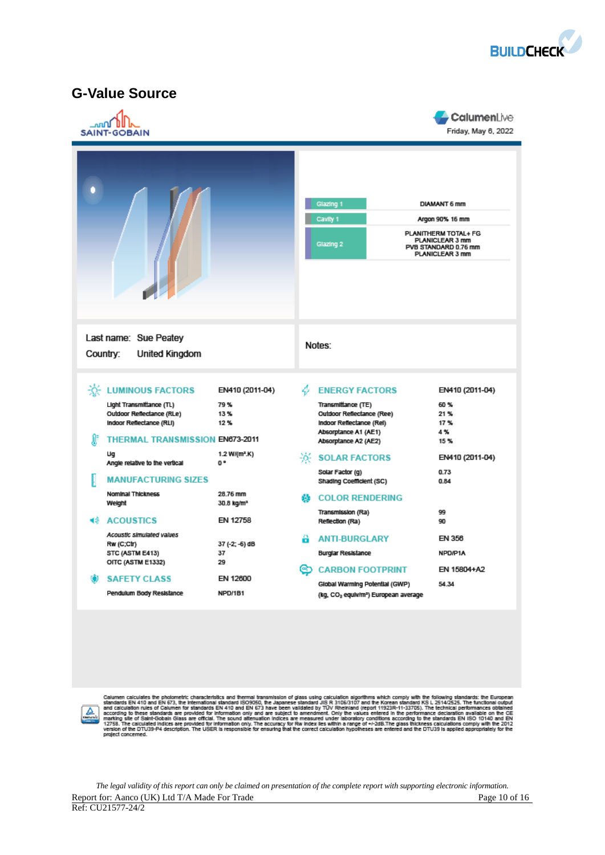

## **G-Value Source**

|          | <b>SAINT-GOBAIN</b>                                                                                                                                                                                                                                                                                                  |                                                                                                                            |        |                                                                                                                                                                                                                                                                                            | CalumenLive<br>Friday, May 6, 2022                                                               |  |  |
|----------|----------------------------------------------------------------------------------------------------------------------------------------------------------------------------------------------------------------------------------------------------------------------------------------------------------------------|----------------------------------------------------------------------------------------------------------------------------|--------|--------------------------------------------------------------------------------------------------------------------------------------------------------------------------------------------------------------------------------------------------------------------------------------------|--------------------------------------------------------------------------------------------------|--|--|
|          |                                                                                                                                                                                                                                                                                                                      |                                                                                                                            |        | Glazing 1<br><b>DIAMANT 6 mm</b><br>Cavity 1<br>Argon 90% 16 mm<br>PLANITHERM TOTAL+ FG<br>PLANICLEAR 3 mm<br>Glazing 2<br>PVB STANDARD 0.76 mm<br><b>PLANICLEAR 3 mm</b>                                                                                                                  |                                                                                                  |  |  |
|          | Last name: Sue Peatey<br>Country:<br><b>United Kingdom</b>                                                                                                                                                                                                                                                           |                                                                                                                            |        | Notes:                                                                                                                                                                                                                                                                                     |                                                                                                  |  |  |
| Æ<br>40. | <b>EXECUTE LUMINOUS FACTORS</b><br>Light Transmittance (TL)<br>Outdoor Reflectance (RLe)<br>Indoor Reflectance (RLI)<br><b>THERMAL TRANSMISSION EN673-2011</b><br>Ug<br>Angle relative to the vertical<br><b>MANUFACTURING SIZES</b><br>Nominal Thickness<br>Weight<br><b>ACOUSTICS</b><br>Acoustic simulated values | EN410 (2011-04)<br>79%<br>13%<br>12%<br>1.2 W/(m <sup>z</sup> .K)<br>O *<br>28.76 mm<br>30.8 kg/m <sup>2</sup><br>EN 12758 | 4<br>動 | <b>ENERGY FACTORS</b><br>Transmittance (TE)<br>Outdoor Reflectance (Ree)<br>Indoor Reflectance (Rel)<br>Absorptance A1 (AE1)<br>Absorptance A2 (AE2)<br>-0-SOLAR FACTORS<br>Solar Factor (g)<br>Shading Coefficient (SC)<br><b>COLOR RENDERING</b><br>Transmission (Ra)<br>Reflection (Ra) | EN410 (2011-04)<br>60%<br>21%<br>17%<br>4%<br>15%<br>EN410 (2011-04)<br>0.73<br>0.84<br>99<br>90 |  |  |
|          | Rw (C;Ctr)<br>STC (ASTM E413)<br>OITC (ASTM E1332)<br><b>SAFETY CLASS</b><br>Pendulum Body Resistance                                                                                                                                                                                                                | 37 (-2; -6) dB<br>37<br>29<br>EN 12600<br>NPD/1B1                                                                          | A<br>ඏ | <b>ANTI-BURGLARY</b><br><b>Burglar Resistance</b><br><b>CARBON FOOTPRINT</b><br>Global Warming Potential (GWP)<br>(kg, CO2 equiv/m <sup>2</sup> ) European average                                                                                                                         | EN 356<br>NPD/P1A<br>EN 15804+A2<br>54.34                                                        |  |  |



Calumen calculates the photometric characteristics and thermal transmission of glass using calculation algorithms which comply with the following standards: the European standards EN 410 and EN 673, the intermalional stan

*The legal validity of this report can only be claimed on presentation of the complete report with supporting electronic information.*  Report for: Aanco (UK) Ltd T/A Made For Trade Page 10 of 16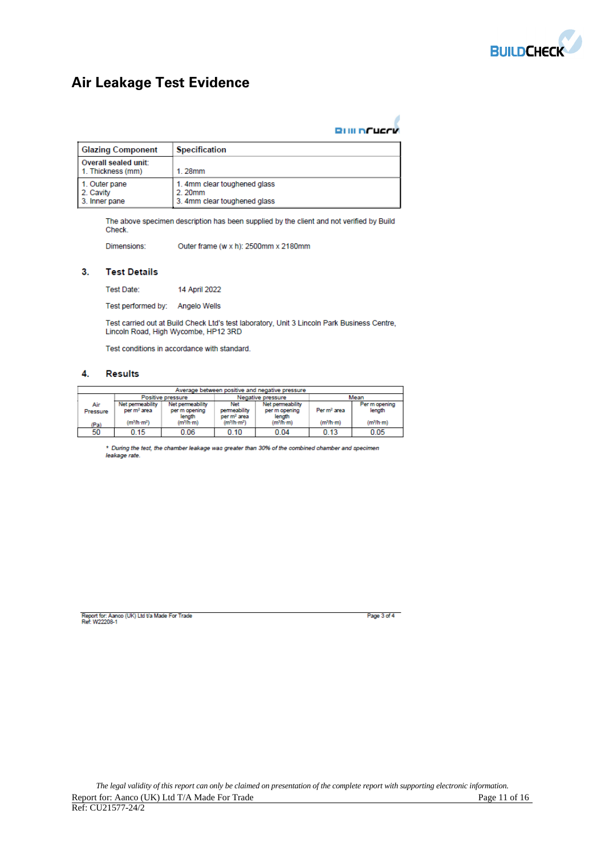

# **Air Leakage Test Evidence**

|  | <b>RIIII NCUCCK</b> |  |
|--|---------------------|--|

| <b>Glazing Component</b>                    | <b>Specification</b>                                                   |
|---------------------------------------------|------------------------------------------------------------------------|
| Overall sealed unit:<br>1. Thickness (mm)   | $1.28$ mm                                                              |
| 1. Outer pane<br>2. Cavity<br>3. Inner pane | 1. 4mm clear toughened glass<br>2.20mm<br>3. 4mm clear toughened glass |

The above specimen description has been supplied by the client and not verified by Build Check.

Dimensions: Outer frame (w x h): 2500mm x 2180mm

### $3.$ **Test Details**

Test Date: 14 April 2022

Test performed by: Angelo Wells

Test carried out at Build Check Ltd's test laboratory, Unit 3 Lincoln Park Business Centre, Lincoln Road, High Wycombe, HP12 3RD

Test conditions in accordance with standard.

#### 4. **Results**

|                 | Average between positive and negative pressure |                                             |                                                       |                                             |                         |                         |  |  |
|-----------------|------------------------------------------------|---------------------------------------------|-------------------------------------------------------|---------------------------------------------|-------------------------|-------------------------|--|--|
|                 |                                                | Positive pressure                           |                                                       | Negative pressure                           |                         | Mean                    |  |  |
| Air<br>Pressure | Net permeability<br>per m <sup>2</sup> area    | Net permeability<br>per m opening<br>length | <b>Net</b><br>permeability<br>per m <sup>2</sup> area | Net permeability<br>per m opening<br>length | Per m <sup>2</sup> area | Per m opening<br>length |  |  |
| (Pa)            | (m <sup>3</sup> /h·m <sup>2</sup> )            | (m <sup>3</sup> /h·m)                       | (m <sup>3</sup> /h·m <sup>2</sup> )                   | (m <sup>3</sup> /h·m)                       | (m <sup>3</sup> /h·m)   | (m <sup>3</sup> /h·m)   |  |  |
| 50              | 0.15                                           | 0.06                                        | 0.10                                                  | 0.04                                        | 0.13                    | 0.05                    |  |  |

\* During the test, the chamber leakage was greater than 30% of the combined chamber and specimen leakage rate.

Report for: Aanco (UK) Ltd t/a Made For Trade<br>Ref: W22208-1

Page 3 of 4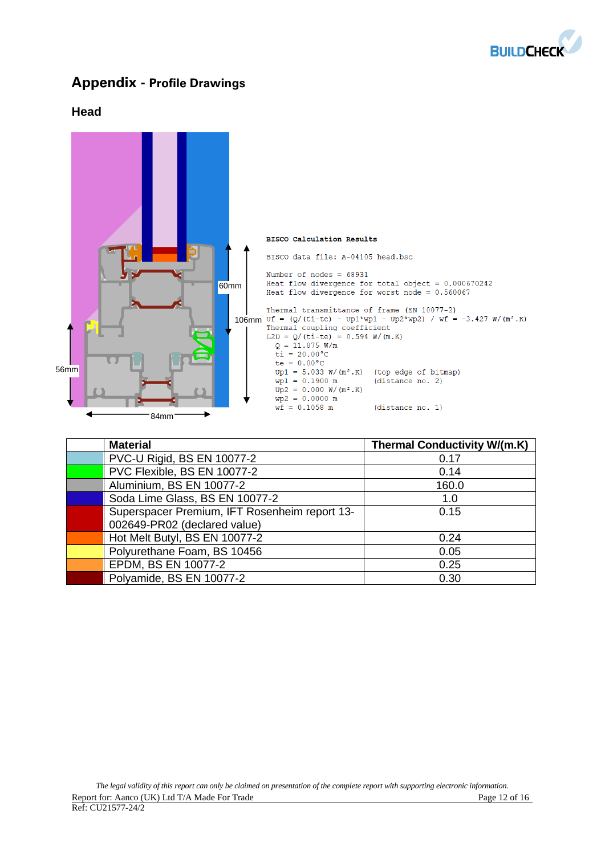

## **Appendix - Profile Drawings**

## **Head**



| <b>Material</b>                               | <b>Thermal Conductivity W/(m.K)</b> |
|-----------------------------------------------|-------------------------------------|
| PVC-U Rigid, BS EN 10077-2                    | 0.17                                |
| PVC Flexible, BS EN 10077-2                   | 0.14                                |
| Aluminium, BS EN 10077-2                      | 160.0                               |
| Soda Lime Glass, BS EN 10077-2                | 1.0                                 |
| Superspacer Premium, IFT Rosenheim report 13- | 0.15                                |
| 002649-PR02 (declared value)                  |                                     |
| Hot Melt Butyl, BS EN 10077-2                 | 0.24                                |
| Polyurethane Foam, BS 10456                   | 0.05                                |
| EPDM, BS EN 10077-2                           | 0.25                                |
| Polyamide, BS EN 10077-2                      | 0.30                                |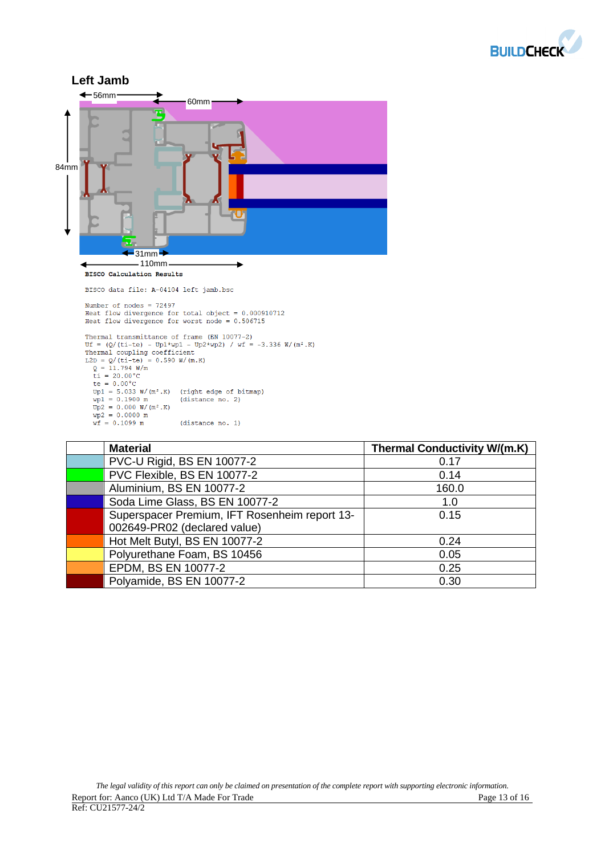



| <b>Material</b>                               | <b>Thermal Conductivity W/(m.K)</b> |
|-----------------------------------------------|-------------------------------------|
| PVC-U Rigid, BS EN 10077-2                    | 0.17                                |
| PVC Flexible, BS EN 10077-2                   | 0.14                                |
| Aluminium, BS EN 10077-2                      | 160.0                               |
| Soda Lime Glass, BS EN 10077-2                | 1.0                                 |
| Superspacer Premium, IFT Rosenheim report 13- | 0.15                                |
| 002649-PR02 (declared value)                  |                                     |
| Hot Melt Butyl, BS EN 10077-2                 | 0.24                                |
| Polyurethane Foam, BS 10456                   | 0.05                                |
| EPDM, BS EN 10077-2                           | 0.25                                |
| Polyamide, BS EN 10077-2                      | 0.30                                |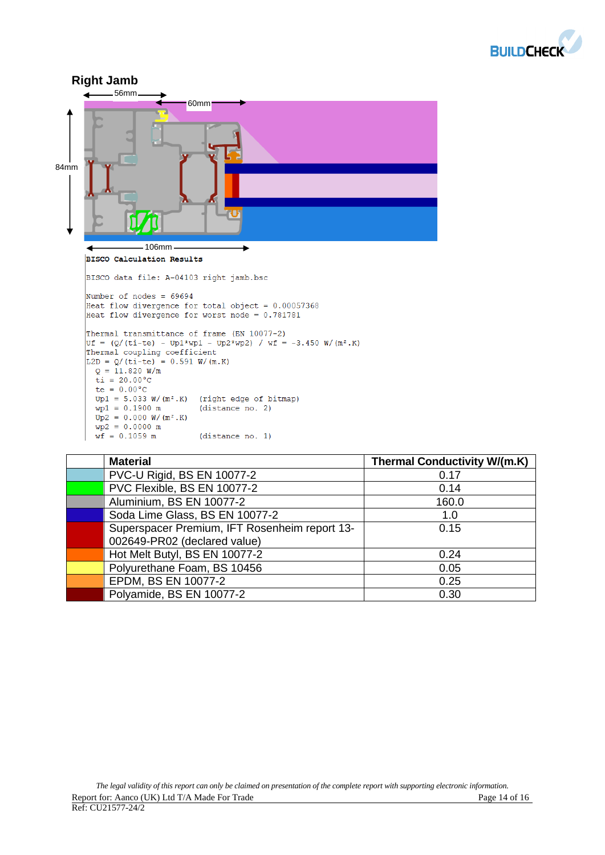



| <b>Material</b>                               | <b>Thermal Conductivity W/(m.K)</b> |
|-----------------------------------------------|-------------------------------------|
| PVC-U Rigid, BS EN 10077-2                    | 0.17                                |
| PVC Flexible, BS EN 10077-2                   | 0.14                                |
| Aluminium, BS EN 10077-2                      | 160.0                               |
| Soda Lime Glass, BS EN 10077-2                | 1.0                                 |
| Superspacer Premium, IFT Rosenheim report 13- | 0.15                                |
| 002649-PR02 (declared value)                  |                                     |
| Hot Melt Butyl, BS EN 10077-2                 | 0.24                                |
| Polyurethane Foam, BS 10456                   | 0.05                                |
| EPDM, BS EN 10077-2                           | 0.25                                |
| Polyamide, BS EN 10077-2                      | 0.30                                |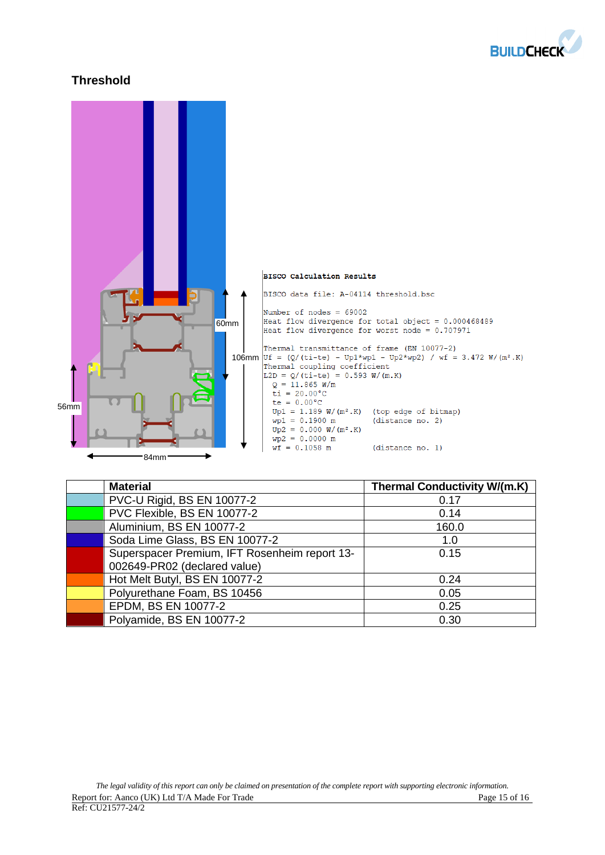

## **Threshold**



| <b>Material</b>                               | <b>Thermal Conductivity W/(m.K)</b> |
|-----------------------------------------------|-------------------------------------|
| PVC-U Rigid, BS EN 10077-2                    | 0.17                                |
| PVC Flexible, BS EN 10077-2                   | 0.14                                |
| Aluminium, BS EN 10077-2                      | 160.0                               |
| Soda Lime Glass, BS EN 10077-2                | 1.0                                 |
| Superspacer Premium, IFT Rosenheim report 13- | 0.15                                |
| 002649-PR02 (declared value)                  |                                     |
| Hot Melt Butyl, BS EN 10077-2                 | 0.24                                |
| Polyurethane Foam, BS 10456                   | 0.05                                |
| EPDM, BS EN 10077-2                           | 0.25                                |
| Polyamide, BS EN 10077-2                      | 0.30                                |